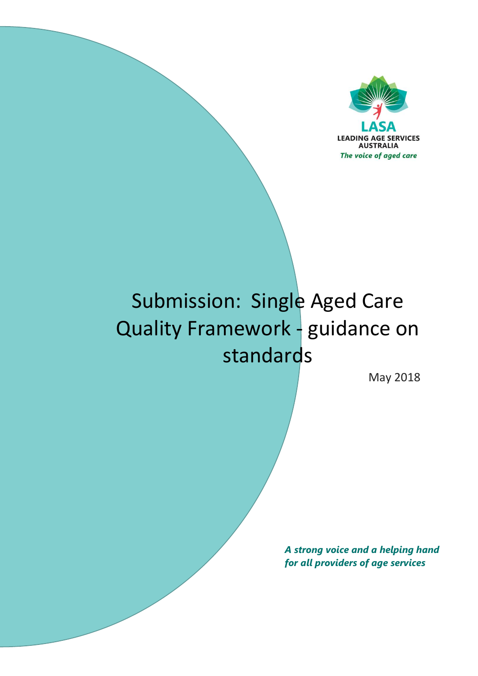

# Submission: Single Aged Care Quality Framework - guidance on standards

May 2018

*A strong voice and a helping hand for all providers of age services*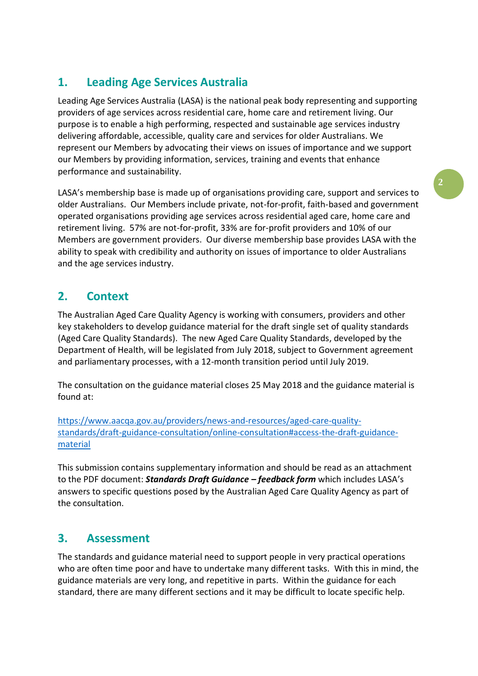# **1. Leading Age Services Australia**

Leading Age Services Australia (LASA) is the national peak body representing and supporting providers of age services across residential care, home care and retirement living. Our purpose is to enable a high performing, respected and sustainable age services industry delivering affordable, accessible, quality care and services for older Australians. We represent our Members by advocating their views on issues of importance and we support our Members by providing information, services, training and events that enhance performance and sustainability.

LASA's membership base is made up of organisations providing care, support and services to older Australians. Our Members include private, not-for-profit, faith-based and government operated organisations providing age services across residential aged care, home care and retirement living. 57% are not-for-profit, 33% are for-profit providers and 10% of our Members are government providers. Our diverse membership base provides LASA with the ability to speak with credibility and authority on issues of importance to older Australians and the age services industry.

## **2. Context**

The Australian Aged Care Quality Agency is working with consumers, providers and other key stakeholders to develop guidance material for the draft single set of quality standards (Aged Care Quality Standards). The new Aged Care Quality Standards, developed by the Department of Health, will be legislated from July 2018, subject to Government agreement and parliamentary processes, with a 12-month transition period until July 2019.

The consultation on the guidance material closes 25 May 2018 and the guidance material is found at:

[https://www.aacqa.gov.au/providers/news-and-resources/aged-care-quality](https://www.aacqa.gov.au/providers/news-and-resources/aged-care-quality-standards/draft-guidance-consultation/online-consultation#access-the-draft-guidance-material)[standards/draft-guidance-consultation/online-consultation#access-the-draft-guidance](https://www.aacqa.gov.au/providers/news-and-resources/aged-care-quality-standards/draft-guidance-consultation/online-consultation#access-the-draft-guidance-material)[material](https://www.aacqa.gov.au/providers/news-and-resources/aged-care-quality-standards/draft-guidance-consultation/online-consultation#access-the-draft-guidance-material)

This submission contains supplementary information and should be read as an attachment to the PDF document: *Standards Draft Guidance – feedback form* which includes LASA's answers to specific questions posed by the Australian Aged Care Quality Agency as part of the consultation.

## **3. Assessment**

The standards and guidance material need to support people in very practical operations who are often time poor and have to undertake many different tasks. With this in mind, the guidance materials are very long, and repetitive in parts. Within the guidance for each standard, there are many different sections and it may be difficult to locate specific help.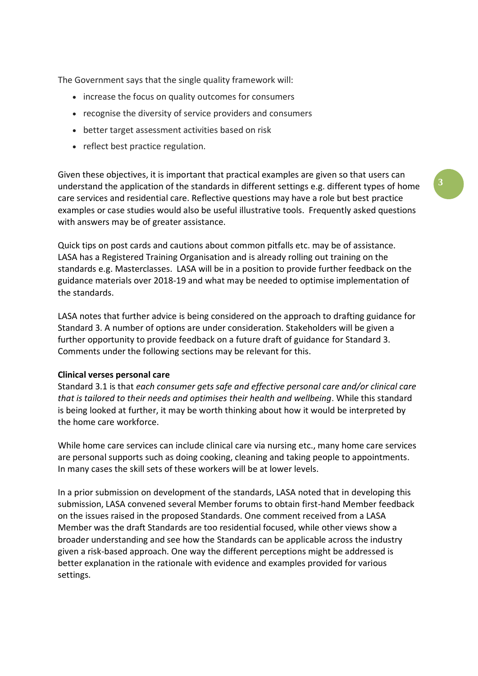The Government says that the single quality framework will:

- increase the focus on quality outcomes for consumers
- recognise the diversity of service providers and consumers
- better target assessment activities based on risk
- reflect best practice regulation.

Given these objectives, it is important that practical examples are given so that users can understand the application of the standards in different settings e.g. different types of home care services and residential care. Reflective questions may have a role but best practice examples or case studies would also be useful illustrative tools. Frequently asked questions with answers may be of greater assistance.

Quick tips on post cards and cautions about common pitfalls etc. may be of assistance. LASA has a Registered Training Organisation and is already rolling out training on the standards e.g. Masterclasses. LASA will be in a position to provide further feedback on the guidance materials over 2018-19 and what may be needed to optimise implementation of the standards.

LASA notes that further advice is being considered on the approach to drafting guidance for Standard 3. A number of options are under consideration. Stakeholders will be given a further opportunity to provide feedback on a future draft of guidance for Standard 3. Comments under the following sections may be relevant for this.

#### **Clinical verses personal care**

Standard 3.1 is that *each consumer gets safe and effective personal care and/or clinical care that is tailored to their needs and optimises their health and wellbeing*. While this standard is being looked at further, it may be worth thinking about how it would be interpreted by the home care workforce.

While home care services can include clinical care via nursing etc., many home care services are personal supports such as doing cooking, cleaning and taking people to appointments. In many cases the skill sets of these workers will be at lower levels.

In a prior submission on development of the standards, LASA noted that in developing this submission, LASA convened several Member forums to obtain first-hand Member feedback on the issues raised in the proposed Standards. One comment received from a LASA Member was the draft Standards are too residential focused, while other views show a broader understanding and see how the Standards can be applicable across the industry given a risk-based approach. One way the different perceptions might be addressed is better explanation in the rationale with evidence and examples provided for various settings.

**3**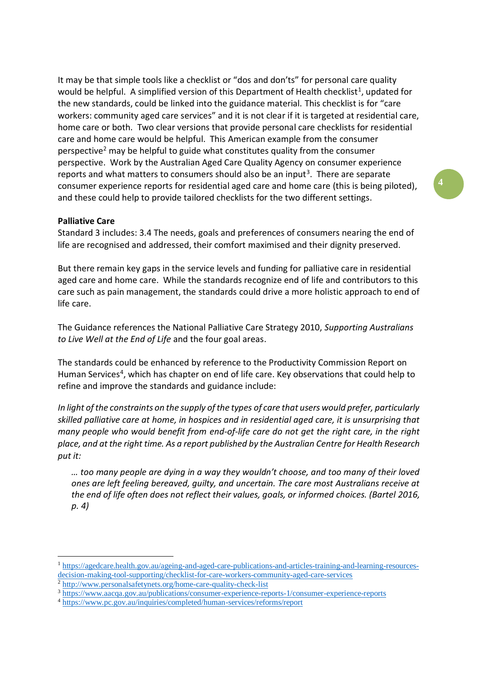It may be that simple tools like a checklist or "dos and don'ts" for personal care quality would be helpful. A simplified version of this Department of Health checklist<sup>1</sup>, updated for the new standards, could be linked into the guidance material. This checklist is for "care workers: community aged care services" and it is not clear if it is targeted at residential care, home care or both. Two clear versions that provide personal care checklists for residential care and home care would be helpful. This American example from the consumer perspective<sup>2</sup> may be helpful to guide what constitutes quality from the consumer perspective. Work by the Australian Aged Care Quality Agency on consumer experience reports and what matters to consumers should also be an input<sup>3</sup>. There are separate consumer experience reports for residential aged care and home care (this is being piloted), and these could help to provide tailored checklists for the two different settings.

**4**

#### **Palliative Care**

<u>.</u>

Standard 3 includes: [3.4 The needs, goals and preferences of consumers nearing the end of](https://www.aacqa.gov.au/providers/news-and-resources/aged-care-quality-standards/draft-guidance-consultation/draft-guidance-standard-3-personal-care-and-clinical-care#requirement-3-4)  [life are recognised and addressed, their comfort maximised and their dignity preserved.](https://www.aacqa.gov.au/providers/news-and-resources/aged-care-quality-standards/draft-guidance-consultation/draft-guidance-standard-3-personal-care-and-clinical-care#requirement-3-4)

But there remain key gaps in the service levels and funding for palliative care in residential aged care and home care. While the standards recognize end of life and contributors to this care such as pain management, the standards could drive a more holistic approach to end of life care.

The Guidance references the National Palliative Care Strategy 2010, *Supporting Australians to Live Well at the End of Life* and the four goal areas.

The standards could be enhanced by reference to the Productivity Commission Report on Human Services<sup>4</sup>, which has chapter on end of life care. Key observations that could help to refine and improve the standards and guidance include:

*In light of the constraints on the supply of the types of care that users would prefer, particularly skilled palliative care at home, in hospices and in residential aged care, it is unsurprising that many people who would benefit from end-of-life care do not get the right care, in the right place, and at the right time. As a report published by the Australian Centre for Health Research put it:* 

*… too many people are dying in a way they wouldn't choose, and too many of their loved ones are left feeling bereaved, guilty, and uncertain. The care most Australians receive at the end of life often does not reflect their values, goals, or informed choices. (Bartel 2016, p. 4)*

<sup>1</sup> [https://agedcare.health.gov.au/ageing-and-aged-care-publications-and-articles-training-and-learning-resources](https://agedcare.health.gov.au/ageing-and-aged-care-publications-and-articles-training-and-learning-resources-decision-making-tool-supporting/checklist-for-care-workers-community-aged-care-services)[decision-making-tool-supporting/checklist-for-care-workers-community-aged-care-services](https://agedcare.health.gov.au/ageing-and-aged-care-publications-and-articles-training-and-learning-resources-decision-making-tool-supporting/checklist-for-care-workers-community-aged-care-services)

<sup>&</sup>lt;sup>2</sup> <http://www.personalsafetynets.org/home-care-quality-check-list>

<sup>3</sup> <https://www.aacqa.gov.au/publications/consumer-experience-reports-1/consumer-experience-reports>

<sup>4</sup> <https://www.pc.gov.au/inquiries/completed/human-services/reforms/report>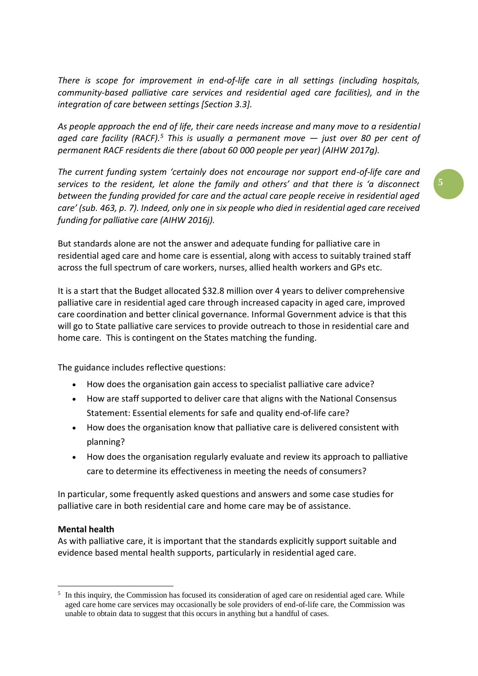*There is scope for improvement in end-of-life care in all settings (including hospitals, community-based palliative care services and residential aged care facilities), and in the integration of care between settings [Section 3.3].* 

*As people approach the end of life, their care needs increase and many move to a residential aged care facility (RACF).<sup>5</sup> This is usually a permanent move — just over 80 per cent of permanent RACF residents die there (about 60 000 people per year) (AIHW 2017g).* 

*The current funding system 'certainly does not encourage nor support end-of-life care and services to the resident, let alone the family and others' and that there is 'a disconnect between the funding provided for care and the actual care people receive in residential aged care' (sub. 463, p. 7). Indeed, only one in six people who died in residential aged care received funding for palliative care (AIHW 2016j).*

But standards alone are not the answer and adequate funding for palliative care in residential aged care and home care is essential, along with access to suitably trained staff across the full spectrum of care workers, nurses, allied health workers and GPs etc.

It is a start that the Budget allocated \$32.8 million over 4 years to deliver comprehensive palliative care in residential aged care through increased capacity in aged care, improved care coordination and better clinical governance. Informal Government advice is that this will go to State palliative care services to provide outreach to those in residential care and home care. This is contingent on the States matching the funding.

The guidance includes reflective questions:

- How does the organisation gain access to specialist palliative care advice?
- How are staff supported to deliver care that aligns with the National Consensus Statement: Essential elements for safe and quality end-of-life care?
- How does the organisation know that palliative care is delivered consistent with planning?
- How does the organisation regularly evaluate and review its approach to palliative care to determine its effectiveness in meeting the needs of consumers?

In particular, some frequently asked questions and answers and some case studies for palliative care in both residential care and home care may be of assistance.

#### **Mental health**

1

As with palliative care, it is important that the standards explicitly support suitable and evidence based mental health supports, particularly in residential aged care.

**5**

<sup>&</sup>lt;sup>5</sup> In this inquiry, the Commission has focused its consideration of aged care on residential aged care. While aged care home care services may occasionally be sole providers of end-of-life care, the Commission was unable to obtain data to suggest that this occurs in anything but a handful of cases.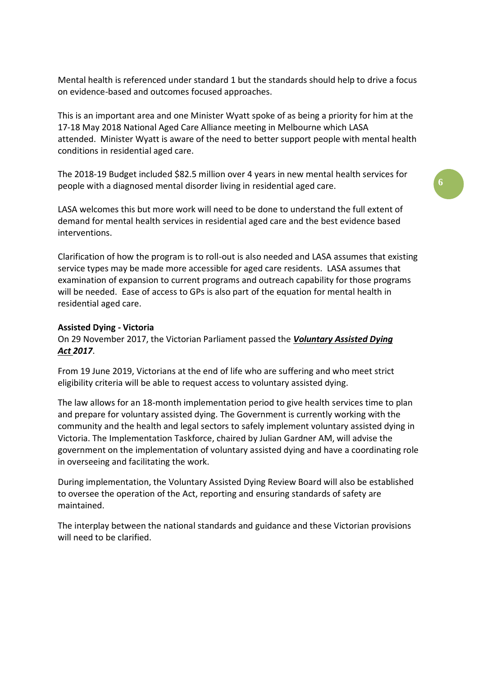Mental health is referenced under standard 1 but the standards should help to drive a focus on evidence-based and outcomes focused approaches.

This is an important area and one Minister Wyatt spoke of as being a priority for him at the 17-18 May 2018 National Aged Care Alliance meeting in Melbourne which LASA attended. Minister Wyatt is aware of the need to better support people with mental health conditions in residential aged care.

The 2018-19 Budget included \$82.5 million over 4 years in new mental health services for people with a diagnosed mental disorder living in residential aged care.

LASA welcomes this but more work will need to be done to understand the full extent of demand for mental health services in residential aged care and the best evidence based interventions.

Clarification of how the program is to roll-out is also needed and LASA assumes that existing service types may be made more accessible for aged care residents. LASA assumes that examination of expansion to current programs and outreach capability for those programs will be needed. Ease of access to GPs is also part of the equation for mental health in residential aged care.

#### **Assisted Dying - Victoria**

On 29 November 2017, the Victorian Parliament passed the *[Voluntary Assisted Dying](http://www.legislation.vic.gov.au/Domino/Web_Notes/LDMS/PubStatbook.nsf/f932b66241ecf1b7ca256e92000e23be/B320E209775D253CCA2581ED00114C60/$FILE/17-061aa%20authorised.pdf)  Act [2017](http://www.legislation.vic.gov.au/Domino/Web_Notes/LDMS/PubStatbook.nsf/f932b66241ecf1b7ca256e92000e23be/B320E209775D253CCA2581ED00114C60/$FILE/17-061aa%20authorised.pdf)*.

From 19 June 2019, Victorians at the end of life who are suffering and who meet strict eligibility criteria will be able to request access to voluntary assisted dying.

The law allows for an 18-month implementation period to give health services time to plan and prepare for voluntary assisted dying. The Government is currently working with the community and the health and legal sectors to safely implement voluntary assisted dying in Victoria. The Implementation Taskforce, chaired by Julian Gardner AM, will advise the government on the implementation of voluntary assisted dying and have a coordinating role in overseeing and facilitating the work.

During implementation, the Voluntary Assisted Dying Review Board will also be established to oversee the operation of the Act, reporting and ensuring standards of safety are maintained.

The interplay between the national standards and guidance and these Victorian provisions will need to be clarified.